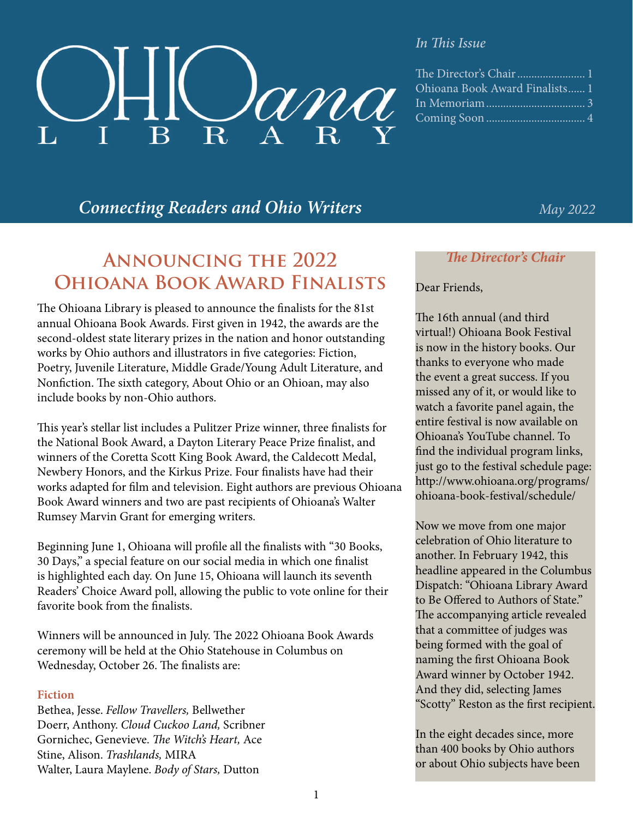

#### *In This Issue*

| The Director's Chair  1        |
|--------------------------------|
| Ohioana Book Award Finalists 1 |
|                                |
|                                |
|                                |

# *Connecting Readers and Ohio Writers May 2022*

# **Announcing the 2022 Ohioana Book Award Finalists**

The Ohioana Library is pleased to announce the finalists for the 81st annual Ohioana Book Awards. First given in 1942, the awards are the second-oldest state literary prizes in the nation and honor outstanding works by Ohio authors and illustrators in five categories: Fiction, Poetry, Juvenile Literature, Middle Grade/Young Adult Literature, and Nonfiction. The sixth category, About Ohio or an Ohioan, may also include books by non-Ohio authors.

This year's stellar list includes a Pulitzer Prize winner, three finalists for the National Book Award, a Dayton Literary Peace Prize finalist, and winners of the Coretta Scott King Book Award, the Caldecott Medal, Newbery Honors, and the Kirkus Prize. Four finalists have had their works adapted for film and television. Eight authors are previous Ohioana Book Award winners and two are past recipients of Ohioana's Walter Rumsey Marvin Grant for emerging writers.

Beginning June 1, Ohioana will profile all the finalists with "30 Books, 30 Days," a special feature on our social media in which one finalist is highlighted each day. On June 15, Ohioana will launch its seventh Readers' Choice Award poll, allowing the public to vote online for their favorite book from the finalists.

Winners will be announced in July. The 2022 Ohioana Book Awards ceremony will be held at the Ohio Statehouse in Columbus on Wednesday, October 26. The finalists are:

#### **Fiction**

Bethea, Jesse. *Fellow Travellers,* Bellwether Doerr, Anthony. *Cloud Cuckoo Land,* Scribner Gornichec, Genevieve. *The Witch's Heart,* Ace Stine, Alison. *Trashlands,* MIRA Walter, Laura Maylene. *Body of Stars,* Dutton

#### *The Director's Chair*

#### Dear Friends,

The 16th annual (and third virtual!) Ohioana Book Festival is now in the history books. Our thanks to everyone who made the event a great success. If you missed any of it, or would like to watch a favorite panel again, the entire festival is now available on Ohioana's YouTube channel. To find the individual program links, just go to the festival schedule page: [http://www.ohioana.org/programs/](http://www.ohioana.org/programs/ohioana-book-festival/schedule/) [ohioana-book-festival/schedule/](http://www.ohioana.org/programs/ohioana-book-festival/schedule/)

Now we move from one major celebration of Ohio literature to another. In February 1942, this headline appeared in the Columbus Dispatch: "Ohioana Library Award to Be Offered to Authors of State." The accompanying article revealed that a committee of judges was being formed with the goal of naming the first Ohioana Book Award winner by October 1942. And they did, selecting James "Scotty" Reston as the first recipient.

In the eight decades since, more than 400 books by Ohio authors or about Ohio subjects have been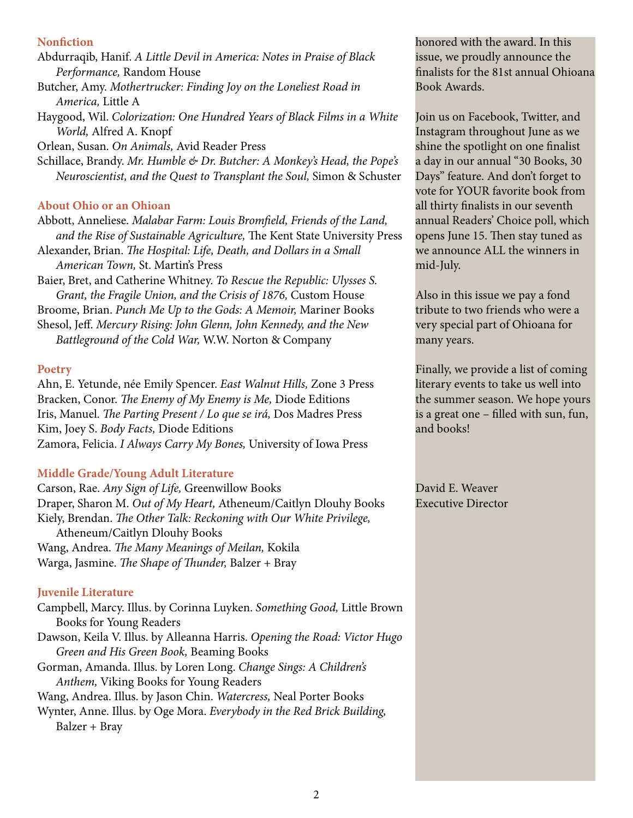#### **Nonfiction**

Abdurraqib, Hanif. *A Little Devil in America: Notes in Praise of Black Performance,* Random House Butcher, Amy. *Mothertrucker: Finding Joy on the Loneliest Road in America,* Little A

Haygood, Wil. *Colorization: One Hundred Years of Black Films in a White World,* Alfred A. Knopf

Orlean, Susan. *On Animals,* Avid Reader Press

Schillace, Brandy. *Mr. Humble & Dr. Butcher: A Monkey's Head, the Pope's Neuroscientist, and the Quest to Transplant the Soul,* Simon & Schuster

#### **About Ohio or an Ohioan**

Abbott, Anneliese. *Malabar Farm: Louis Bromfield, Friends of the Land, and the Rise of Sustainable Agriculture,* The Kent State University Press Alexander, Brian. *The Hospital: Life, Death, and Dollars in a Small* 

*American Town,* St. Martin's Press

Baier, Bret, and Catherine Whitney. *To Rescue the Republic: Ulysses S. Grant, the Fragile Union, and the Crisis of 1876,* Custom House

Broome, Brian. *Punch Me Up to the Gods: A Memoir,* Mariner Books Shesol, Jeff. *Mercury Rising: John Glenn, John Kennedy, and the New Battleground of the Cold War,* W.W. Norton & Company

#### **Poetry**

Ahn, E. Yetunde, née Emily Spencer. *East Walnut Hills,* Zone 3 Press Bracken, Conor. *The Enemy of My Enemy is Me,* Diode Editions Iris, Manuel. *The Parting Present / Lo que se irá,* Dos Madres Press Kim, Joey S. *Body Facts,* Diode Editions Zamora, Felicia. *I Always Carry My Bones,* University of Iowa Press

#### **Middle Grade/Young Adult Literature**

Carson, Rae. *Any Sign of Life,* Greenwillow Books Draper, Sharon M. *Out of My Heart,* Atheneum/Caitlyn Dlouhy Books Kiely, Brendan. *The Other Talk: Reckoning with Our White Privilege,* Atheneum/Caitlyn Dlouhy Books Wang, Andrea. *The Many Meanings of Meilan,* Kokila Warga, Jasmine. *The Shape of Thunder,* Balzer + Bray

#### **Juvenile Literature**

Campbell, Marcy. Illus. by Corinna Luyken. *Something Good,* Little Brown Books for Young Readers Dawson, Keila V. Illus. by Alleanna Harris. *Opening the Road: Victor Hugo Green and His Green Book,* Beaming Books Gorman, Amanda. Illus. by Loren Long. *Change Sings: A Children's Anthem,* Viking Books for Young Readers Wang, Andrea. Illus. by Jason Chin. *Watercress,* Neal Porter Books Wynter, Anne. Illus. by Oge Mora. *Everybody in the Red Brick Building,* Balzer + Bray

honored with the award. In this issue, we proudly announce the finalists for the 81st annual Ohioana Book Awards.

Join us on Facebook, Twitter, and Instagram throughout June as we shine the spotlight on one finalist a day in our annual "30 Books, 30 Days" feature. And don't forget to vote for YOUR favorite book from all thirty finalists in our seventh annual Readers' Choice poll, which opens June 15. Then stay tuned as we announce ALL the winners in mid-July.

Also in this issue we pay a fond tribute to two friends who were a very special part of Ohioana for many years.

Finally, we provide a list of coming literary events to take us well into the summer season. We hope yours is a great one – filled with sun, fun, and books!

David E. Weaver Executive Director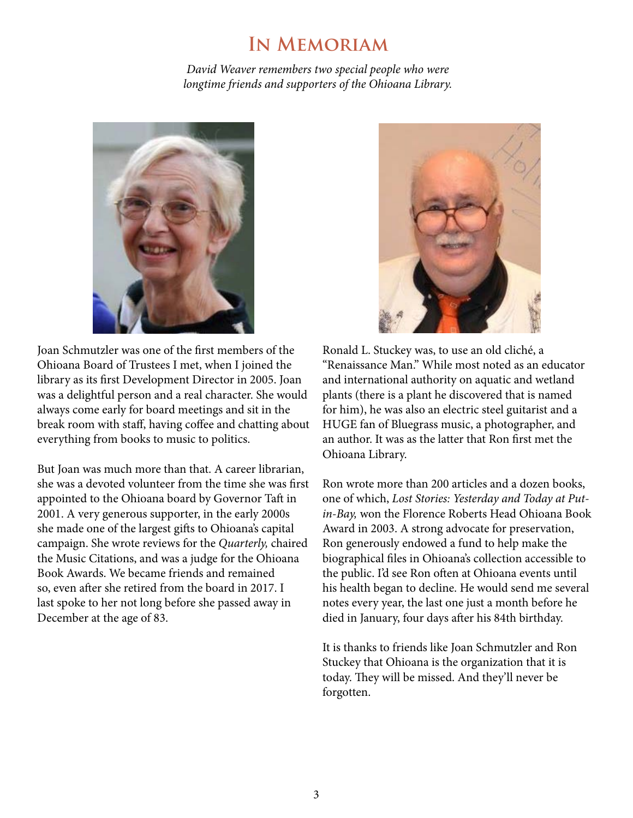# **In Memoriam**

*David Weaver remembers two special people who were longtime friends and supporters of the Ohioana Library.* 



Joan Schmutzler was one of the first members of the Ohioana Board of Trustees I met, when I joined the library as its first Development Director in 2005. Joan was a delightful person and a real character. She would always come early for board meetings and sit in the break room with staff, having coffee and chatting about everything from books to music to politics.

But Joan was much more than that. A career librarian, she was a devoted volunteer from the time she was first appointed to the Ohioana board by Governor Taft in 2001. A very generous supporter, in the early 2000s she made one of the largest gifts to Ohioana's capital campaign. She wrote reviews for the *Quarterly,* chaired the Music Citations, and was a judge for the Ohioana Book Awards. We became friends and remained so, even after she retired from the board in 2017. I last spoke to her not long before she passed away in December at the age of 83.

Ronald L. Stuckey was, to use an old cliché, a "Renaissance Man." While most noted as an educator and international authority on aquatic and wetland plants (there is a plant he discovered that is named for him), he was also an electric steel guitarist and a HUGE fan of Bluegrass music, a photographer, and an author. It was as the latter that Ron first met the Ohioana Library.

Ron wrote more than 200 articles and a dozen books, one of which, *Lost Stories: Yesterday and Today at Putin-Bay,* won the Florence Roberts Head Ohioana Book Award in 2003. A strong advocate for preservation, Ron generously endowed a fund to help make the biographical files in Ohioana's collection accessible to the public. I'd see Ron often at Ohioana events until his health began to decline. He would send me several notes every year, the last one just a month before he died in January, four days after his 84th birthday.

It is thanks to friends like Joan Schmutzler and Ron Stuckey that Ohioana is the organization that it is today. They will be missed. And they'll never be forgotten.